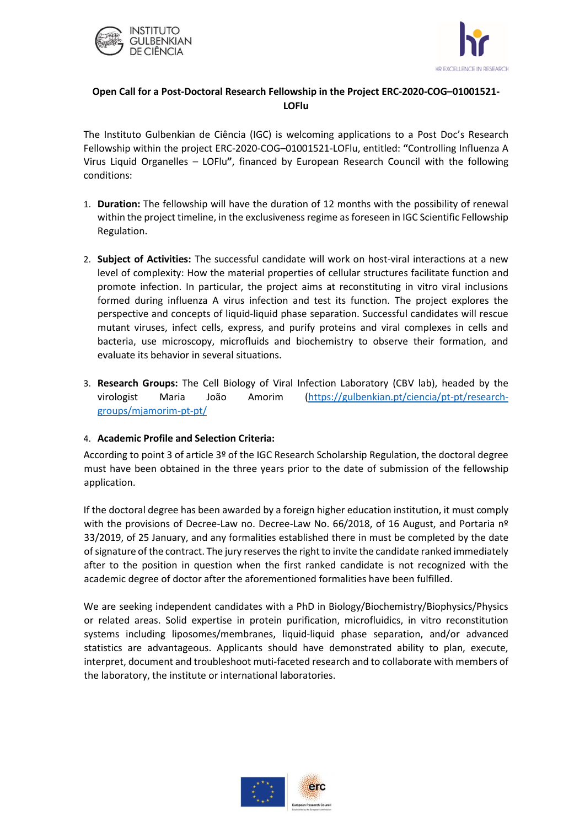



## **Open Call for a Post-Doctoral Research Fellowship in the Project ERC-2020-COG–01001521- LOFlu**

The Instituto Gulbenkian de Ciência (IGC) is welcoming applications to a Post Doc's Research Fellowship within the project ERC-2020-COG–01001521-LOFlu, entitled: **"**Controlling Influenza A Virus Liquid Organelles – LOFlu**"**, financed by European Research Council with the following conditions:

- 1. **Duration:** The fellowship will have the duration of 12 months with the possibility of renewal within the project timeline, in the exclusiveness regime as foreseen in IGC Scientific Fellowship Regulation.
- 2. **Subject of Activities:** The successful candidate will work on host-viral interactions at a new level of complexity: How the material properties of cellular structures facilitate function and promote infection. In particular, the project aims at reconstituting in vitro viral inclusions formed during influenza A virus infection and test its function. The project explores the perspective and concepts of liquid-liquid phase separation. Successful candidates will rescue mutant viruses, infect cells, express, and purify proteins and viral complexes in cells and bacteria, use microscopy, microfluids and biochemistry to observe their formation, and evaluate its behavior in several situations.
- 3. **Research Groups:** The Cell Biology of Viral Infection Laboratory (CBV lab), headed by the virologist Maria João Amorim [\(https://gulbenkian.pt/ciencia/pt-pt/research](https://gulbenkian.pt/ciencia/pt-pt/research-groups/mjamorim-pt-pt/)[groups/mjamorim-pt-pt/](https://gulbenkian.pt/ciencia/pt-pt/research-groups/mjamorim-pt-pt/)

## 4. **Academic Profile and Selection Criteria:**

According to point 3 of article 3º of the IGC Research Scholarship Regulation, the doctoral degree must have been obtained in the three years prior to the date of submission of the fellowship application.

If the doctoral degree has been awarded by a foreign higher education institution, it must comply with the provisions of Decree-Law no. Decree-Law No. 66/2018, of 16 August, and Portaria nº 33/2019, of 25 January, and any formalities established there in must be completed by the date of signature of the contract. The jury reserves the right to invite the candidate ranked immediately after to the position in question when the first ranked candidate is not recognized with the academic degree of doctor after the aforementioned formalities have been fulfilled.

We are seeking independent candidates with a PhD in Biology/Biochemistry/Biophysics/Physics or related areas. Solid expertise in protein purification, microfluidics, in vitro reconstitution systems including liposomes/membranes, liquid-liquid phase separation, and/or advanced statistics are advantageous. Applicants should have demonstrated ability to plan, execute, interpret, document and troubleshoot muti-faceted research and to collaborate with members of the laboratory, the institute or international laboratories.